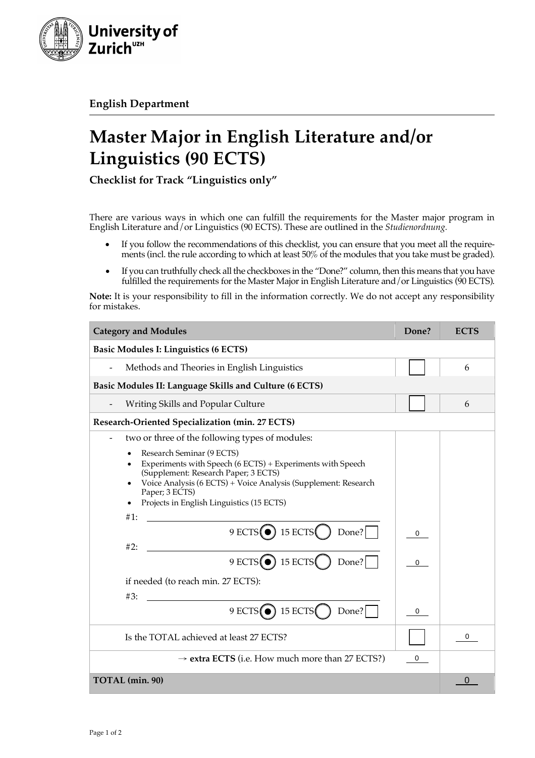

**English Department**

## **Master Major in English Literature and/or Linguistics (90 ECTS)**

**Checklist for Track "Linguistics only"**

There are various ways in which one can fulfill the requirements for the Master major program in English Literature and/or Linguistics (90 ECTS). These are outlined in the *Studienordnung.*

- If you follow the recommendations of this checklist, you can ensure that you meet all the requirements (incl. the rule according to which at least 50% of the modules that you take must be graded).
- If you can truthfully check all the checkboxes in the "Done?" column, then this means that you have fulfilled the requirements for the Master Major in English Literature and / or Linguistics (90 ECTS).

**Note:** It is your responsibility to fill in the information correctly. We do not accept any responsibility for mistakes.

| <b>Category and Modules</b>                                                                                                                                                                                                                                                                                                                                                                                                                        | Done?         | <b>ECTS</b> |
|----------------------------------------------------------------------------------------------------------------------------------------------------------------------------------------------------------------------------------------------------------------------------------------------------------------------------------------------------------------------------------------------------------------------------------------------------|---------------|-------------|
| <b>Basic Modules I: Linguistics (6 ECTS)</b>                                                                                                                                                                                                                                                                                                                                                                                                       |               |             |
| Methods and Theories in English Linguistics                                                                                                                                                                                                                                                                                                                                                                                                        |               | 6           |
| Basic Modules II: Language Skills and Culture (6 ECTS)                                                                                                                                                                                                                                                                                                                                                                                             |               |             |
| Writing Skills and Popular Culture                                                                                                                                                                                                                                                                                                                                                                                                                 |               | 6           |
| Research-Oriented Specialization (min. 27 ECTS)                                                                                                                                                                                                                                                                                                                                                                                                    |               |             |
| two or three of the following types of modules:<br>Research Seminar (9 ECTS)<br>$\bullet$<br>Experiments with Speech (6 ECTS) + Experiments with Speech<br>$\bullet$<br>(Supplement: Research Paper; 3 ECTS)<br>Voice Analysis (6 ECTS) + Voice Analysis (Supplement: Research<br>Paper; 3 ECTS)<br>Projects in English Linguistics (15 ECTS)<br>$\bullet$<br>#1:<br>$9$ ECTS $\odot$ 15 ECTS<br>Done?<br>#2:<br>$9$ ECTS $\odot$ 15 ECTS<br>Done? | $\Omega$<br>0 |             |
| if needed (to reach min. 27 ECTS):<br>#3:<br>$9$ ECTS $\odot$ 15 ECTS<br>Done?                                                                                                                                                                                                                                                                                                                                                                     | 0             |             |
| Is the TOTAL achieved at least 27 ECTS?                                                                                                                                                                                                                                                                                                                                                                                                            |               | 0           |
| $\rightarrow$ extra ECTS (i.e. How much more than 27 ECTS?)                                                                                                                                                                                                                                                                                                                                                                                        | $\mathbf 0$   |             |
| TOTAL (min. 90)                                                                                                                                                                                                                                                                                                                                                                                                                                    |               | O           |